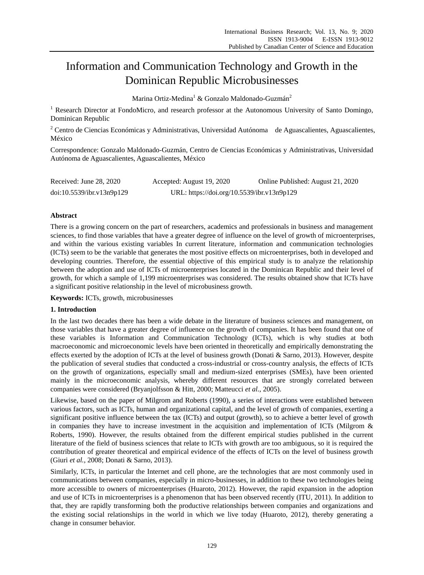# Information and Communication Technology and Growth in the Dominican Republic Microbusinesses

Marina Ortiz-Medina<sup>1</sup> & Gonzalo Maldonado-Guzmán<sup>2</sup>

<sup>1</sup> Research Director at FondoMicro, and research professor at the Autonomous University of Santo Domingo, Dominican Republic

<sup>2</sup> Centro de Ciencias Económicas y Administrativas, Universidad Autónoma de Aguascalientes, Aguascalientes, México

Correspondence: Gonzalo Maldonado-Guzmán, Centro de Ciencias Económicas y Administrativas, Universidad Autónoma de Aguascalientes, Aguascalientes, México

| Received: June 28, 2020   | Accepted: August 19, 2020                  | Online Published: August 21, 2020 |
|---------------------------|--------------------------------------------|-----------------------------------|
| doi:10.5539/ibr.v13n9p129 | URL: https://doi.org/10.5539/ibr.v13n9p129 |                                   |

# **Abstract**

There is a growing concern on the part of researchers, academics and professionals in business and management sciences, to find those variables that have a greater degree of influence on the level of growth of microenterprises, and within the various existing variables In current literature, information and communication technologies (ICTs) seem to be the variable that generates the most positive effects on microenterprises, both in developed and developing countries. Therefore, the essential objective of this empirical study is to analyze the relationship between the adoption and use of ICTs of microenterprises located in the Dominican Republic and their level of growth, for which a sample of 1,199 microenterprises was considered. The results obtained show that ICTs have a significant positive relationship in the level of microbusiness growth.

**Keywords:** ICTs, growth, microbusinesses

# **1. Introduction**

In the last two decades there has been a wide debate in the literature of business sciences and management, on those variables that have a greater degree of influence on the growth of companies. It has been found that one of these variables is Information and Communication Technology (ICTs), which is why studies at both macroeconomic and microeconomic levels have been oriented in theoretically and empirically demonstrating the effects exerted by the adoption of ICTs at the level of business growth (Donati & Sarno, 2013). However, despite the publication of several studies that conducted a cross-industrial or cross-country analysis, the effects of ICTs on the growth of organizations, especially small and medium-sized enterprises (SMEs), have been oriented mainly in the microeconomic analysis, whereby different resources that are strongly correlated between companies were considered (Bryanjolfsson & Hitt, 2000; Matteucci *et al.*, 2005).

Likewise, based on the paper of Milgrom and Roberts (1990), a series of interactions were established between various factors, such as ICTs, human and organizational capital, and the level of growth of companies, exerting a significant positive influence between the tax (ICTs) and output (growth), so to achieve a better level of growth in companies they have to increase investment in the acquisition and implementation of ICTs (Milgrom & Roberts, 1990). However, the results obtained from the different empirical studies published in the current literature of the field of business sciences that relate to ICTs with growth are too ambiguous, so it is required the contribution of greater theoretical and empirical evidence of the effects of ICTs on the level of business growth (Giuri *et al.*, 2008; Donati & Sarno, 2013).

Similarly, ICTs, in particular the Internet and cell phone, are the technologies that are most commonly used in communications between companies, especially in micro-businesses, in addition to these two technologies being more accessible to owners of microenterprises (Huaroto, 2012). However, the rapid expansion in the adoption and use of ICTs in microenterprises is a phenomenon that has been observed recently (ITU, 2011). In addition to that, they are rapidly transforming both the productive relationships between companies and organizations and the existing social relationships in the world in which we live today (Huaroto, 2012), thereby generating a change in consumer behavior.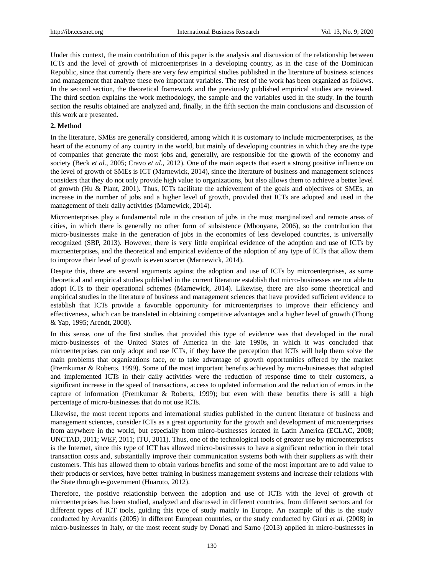Under this context, the main contribution of this paper is the analysis and discussion of the relationship between ICTs and the level of growth of microenterprises in a developing country, as in the case of the Dominican Republic, since that currently there are very few empirical studies published in the literature of business sciences and management that analyze these two important variables. The rest of the work has been organized as follows. In the second section, the theoretical framework and the previously published empirical studies are reviewed. The third section explains the work methodology, the sample and the variables used in the study. In the fourth section the results obtained are analyzed and, finally, in the fifth section the main conclusions and discussion of this work are presented.

#### **2. Method**

In the literature, SMEs are generally considered, among which it is customary to include microenterprises, as the heart of the economy of any country in the world, but mainly of developing countries in which they are the type of companies that generate the most jobs and, generally, are responsible for the growth of the economy and society (Beck *et al.*, 2005; Cravo *et al.*, 2012). One of the main aspects that exert a strong positive influence on the level of growth of SMEs is ICT (Marnewick, 2014), since the literature of business and management sciences considers that they do not only provide high value to organizations, but also allows them to achieve a better level of growth (Hu & Plant, 2001). Thus, ICTs facilitate the achievement of the goals and objectives of SMEs, an increase in the number of jobs and a higher level of growth, provided that ICTs are adopted and used in the management of their daily activities (Marnewick, 2014).

Microenterprises play a fundamental role in the creation of jobs in the most marginalized and remote areas of cities, in which there is generally no other form of subsistence (Mbonyane, 2006), so the contribution that micro-businesses make in the generation of jobs in the economies of less developed countries, is universally recognized (SBP, 2013). However, there is very little empirical evidence of the adoption and use of ICTs by microenterprises, and the theoretical and empirical evidence of the adoption of any type of ICTs that allow them to improve their level of growth is even scarcer (Marnewick, 2014).

Despite this, there are several arguments against the adoption and use of ICTs by microenterprises, as some theoretical and empirical studies published in the current literature establish that micro-businesses are not able to adopt ICTs to their operational schemes (Marnewick, 2014). Likewise, there are also some theoretical and empirical studies in the literature of business and management sciences that have provided sufficient evidence to establish that ICTs provide a favorable opportunity for microenterprises to improve their efficiency and effectiveness, which can be translated in obtaining competitive advantages and a higher level of growth (Thong & Yap, 1995; Arendt, 2008).

In this sense, one of the first studies that provided this type of evidence was that developed in the rural micro-businesses of the United States of America in the late 1990s, in which it was concluded that microenterprises can only adopt and use ICTs, if they have the perception that ICTs will help them solve the main problems that organizations face, or to take advantage of growth opportunities offered by the market (Premkumar & Roberts, 1999). Some of the most important benefits achieved by micro-businesses that adopted and implemented ICTs in their daily activities were the reduction of response time to their customers, a significant increase in the speed of transactions, access to updated information and the reduction of errors in the capture of information (Premkumar & Roberts, 1999); but even with these benefits there is still a high percentage of micro-businesses that do not use ICTs.

Likewise, the most recent reports and international studies published in the current literature of business and management sciences, consider ICTs as a great opportunity for the growth and development of microenterprises from anywhere in the world, but especially from micro-businesses located in Latin America (ECLAC, 2008; UNCTAD, 2011; WEF, 2011; ITU, 2011). Thus, one of the technological tools of greater use by microenterprises is the Internet, since this type of ICT has allowed micro-businesses to have a significant reduction in their total transaction costs and, substantially improve their communication systems both with their suppliers as with their customers. This has allowed them to obtain various benefits and some of the most important are to add value to their products or services, have better training in business management systems and increase their relations with the State through e-government (Huaroto, 2012).

Therefore, the positive relationship between the adoption and use of ICTs with the level of growth of microenterprises has been studied, analyzed and discussed in different countries, from different sectors and for different types of ICT tools, guiding this type of study mainly in Europe. An example of this is the study conducted by Arvanitis (2005) in different European countries, or the study conducted by Giuri *et al.* (2008) in micro-businesses in Italy, or the most recent study by Donati and Sarno (2013) applied in micro-businesses in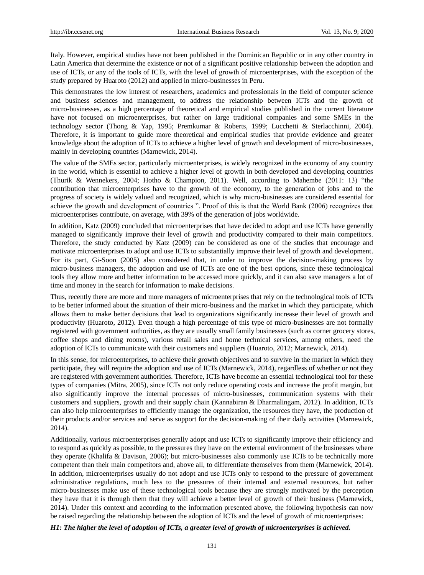Italy. However, empirical studies have not been published in the Dominican Republic or in any other country in Latin America that determine the existence or not of a significant positive relationship between the adoption and use of ICTs, or any of the tools of ICTs, with the level of growth of microenterprises, with the exception of the study prepared by Huaroto (2012) and applied in micro-businesses in Peru.

This demonstrates the low interest of researchers, academics and professionals in the field of computer science and business sciences and management, to address the relationship between ICTs and the growth of micro-businesses, as a high percentage of theoretical and empirical studies published in the current literature have not focused on microenterprises, but rather on large traditional companies and some SMEs in the technology sector (Thong & Yap, 1995; Premkumar & Roberts, 1999; Lucchetti & Sterlacchinni, 2004). Therefore, it is important to guide more theoretical and empirical studies that provide evidence and greater knowledge about the adoption of ICTs to achieve a higher level of growth and development of micro-businesses, mainly in developing countries (Marnewick, 2014).

The value of the SMEs sector, particularly microenterprises, is widely recognized in the economy of any country in the world, which is essential to achieve a higher level of growth in both developed and developing countries (Thurik & Wennekers, 2004; Hotho & Champion, 2011). Well, according to Mahembe (2011: 13) "the contribution that microenterprises have to the growth of the economy, to the generation of jobs and to the progress of society is widely valued and recognized, which is why micro-businesses are considered essential for achieve the growth and development of countries ". Proof of this is that the World Bank (2006) recognizes that microenterprises contribute, on average, with 39% of the generation of jobs worldwide.

In addition, Katz (2009) concluded that microenterprises that have decided to adopt and use ICTs have generally managed to significantly improve their level of growth and productivity compared to their main competitors. Therefore, the study conducted by Katz (2009) can be considered as one of the studies that encourage and motivate microenterprises to adopt and use ICTs to substantially improve their level of growth and development. For its part, Gi-Soon (2005) also considered that, in order to improve the decision-making process by micro-business managers, the adoption and use of ICTs are one of the best options, since these technological tools they allow more and better information to be accessed more quickly, and it can also save managers a lot of time and money in the search for information to make decisions.

Thus, recently there are more and more managers of microenterprises that rely on the technological tools of ICTs to be better informed about the situation of their micro-business and the market in which they participate, which allows them to make better decisions that lead to organizations significantly increase their level of growth and productivity (Huaroto, 2012). Even though a high percentage of this type of micro-businesses are not formally registered with government authorities, as they are usually small family businesses (such as corner grocery stores, coffee shops and dining rooms), various retail sales and home technical services, among others, need the adoption of ICTs to communicate with their customers and suppliers (Huaroto, 2012; Marnewick, 2014).

In this sense, for microenterprises, to achieve their growth objectives and to survive in the market in which they participate, they will require the adoption and use of ICTs (Marnewick, 2014), regardless of whether or not they are registered with government authorities. Therefore, ICTs have become an essential technological tool for these types of companies (Mitra, 2005), since ICTs not only reduce operating costs and increase the profit margin, but also significantly improve the internal processes of micro-businesses, communication systems with their customers and suppliers, growth and their supply chain (Kannabiran & Dharmalingam, 2012). In addition, ICTs can also help microenterprises to efficiently manage the organization, the resources they have, the production of their products and/or services and serve as support for the decision-making of their daily activities (Marnewick, 2014).

Additionally, various microenterprises generally adopt and use ICTs to significantly improve their efficiency and to respond as quickly as possible, to the pressures they have on the external environment of the businesses where they operate (Khalifa & Davison, 2006); but micro-businesses also commonly use ICTs to be technically more competent than their main competitors and, above all, to differentiate themselves from them (Marnewick, 2014). In addition, microenterprises usually do not adopt and use ICTs only to respond to the pressure of government administrative regulations, much less to the pressures of their internal and external resources, but rather micro-businesses make use of these technological tools because they are strongly motivated by the perception they have that it is through them that they will achieve a better level of growth of their business (Marnewick, 2014). Under this context and according to the information presented above, the following hypothesis can now be raised regarding the relationship between the adoption of ICTs and the level of growth of microenterprises:

#### *H1: The higher the level of adoption of ICTs, a greater level of growth of microenterprises is achieved.*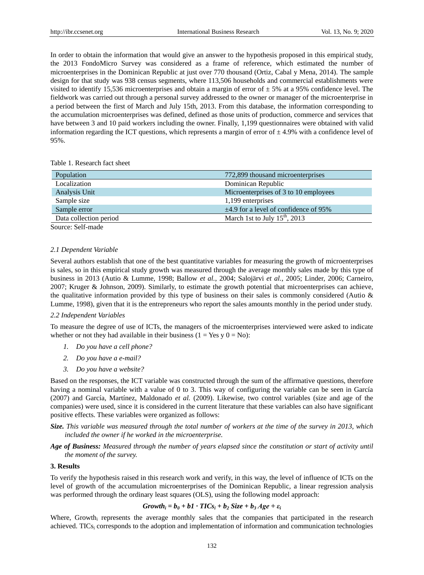In order to obtain the information that would give an answer to the hypothesis proposed in this empirical study, the 2013 FondoMicro Survey was considered as a frame of reference, which estimated the number of microenterprises in the Dominican Republic at just over 770 thousand (Ortiz, Cabal y Mena, 2014). The sample design for that study was 938 census segments, where 113,506 households and commercial establishments were visited to identify 15,536 microenterprises and obtain a margin of error of  $\pm$  5% at a 95% confidence level. The fieldwork was carried out through a personal survey addressed to the owner or manager of the microenterprise in a period between the first of March and July 15th, 2013. From this database, the information corresponding to the accumulation microenterprises was defined, defined as those units of production, commerce and services that have between 3 and 10 paid workers including the owner. Finally, 1,199 questionnaires were obtained with valid information regarding the ICT questions, which represents a margin of error of  $\pm 4.9\%$  with a confidence level of 95%.

Table 1. Research fact sheet

| Population             | 772,899 thousand microenterprises          |
|------------------------|--------------------------------------------|
| Localization           | Dominican Republic                         |
| Analysis Unit          | Microenterprises of 3 to 10 employees      |
| Sample size            | 1,199 enterprises                          |
| Sample error           | $\pm$ 4.9 for a level of confidence of 95% |
| Data collection period | March 1st to July $15th$ , 2013            |
| - - - -                |                                            |

Source: Self-made

#### *2.1 Dependent Variable*

Several authors establish that one of the best quantitative variables for measuring the growth of microenterprises is sales, so in this empirical study growth was measured through the average monthly sales made by this type of business in 2013 (Autio & Lumme, 1998; Ballow *et al.*, 2004; Salojärvi *et al.*, 2005; Linder, 2006; Carneiro, 2007; Kruger & Johnson, 2009). Similarly, to estimate the growth potential that microenterprises can achieve, the qualitative information provided by this type of business on their sales is commonly considered (Autio & Lumme, 1998), given that it is the entrepreneurs who report the sales amounts monthly in the period under study.

#### *2.2 Independent Variables*

To measure the degree of use of ICTs, the managers of the microenterprises interviewed were asked to indicate whether or not they had available in their business ( $1 = Yes$  y  $0 = No$ ):

- *1. Do you have a cell phone?*
- *2. Do you have a e-mail?*
- *3. Do you have a website?*

Based on the responses, the ICT variable was constructed through the sum of the affirmative questions, therefore having a nominal variable with a value of 0 to 3. This way of configuring the variable can be seen in Garc  $\hat{a}$ (2007) and García, Martínez, Maldonado *et al.* (2009). Likewise, two control variables (size and age of the companies) were used, since it is considered in the current literature that these variables can also have significant positive effects. These variables were organized as follows:

## *Size. This variable was measured through the total number of workers at the time of the survey in 2013, which included the owner if he worked in the microenterprise.*

*Age of Business: Measured through the number of years elapsed since the constitution or start of activity until the moment of the survey.*

## **3. Results**

To verify the hypothesis raised in this research work and verify, in this way, the level of influence of ICTs on the level of growth of the accumulation microenterprises of the Dominican Republic, a linear regression analysis was performed through the ordinary least squares (OLS), using the following model approach:

## $Growth_i = b_0 + b1$   $\cdot TICS_i + b_2$   $Size + b_3 Age + \varepsilon_i$

Where, Growth<sub>i</sub> represents the average monthly sales that the companies that participated in the research achieved. TICs<sup>i</sup> corresponds to the adoption and implementation of information and communication technologies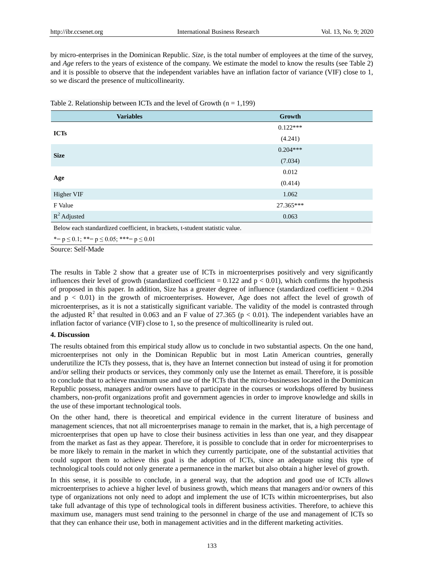by micro-enterprises in the Dominican Republic. *Size*, is the total number of employees at the time of the survey, and *Age* refers to the years of existence of the company. We estimate the model to know the results (see Table 2) and it is possible to observe that the independent variables have an inflation factor of variance (VIF) close to 1, so we discard the presence of multicollinearity.

| <b>Variables</b>                                                             | Growth     |  |  |
|------------------------------------------------------------------------------|------------|--|--|
| <b>ICTs</b>                                                                  | $0.122***$ |  |  |
|                                                                              | (4.241)    |  |  |
| <b>Size</b>                                                                  | $0.204***$ |  |  |
|                                                                              | (7.034)    |  |  |
|                                                                              | 0.012      |  |  |
| Age                                                                          | (0.414)    |  |  |
| Higher VIF                                                                   | 1.062      |  |  |
| F Value                                                                      | 27.365***  |  |  |
| $R^2$ Adjusted                                                               | 0.063      |  |  |
| Below each standardized coefficient, in brackets, t-student statistic value. |            |  |  |
| *= $p \le 0.1$ ; **= $p \le 0.05$ ; ***= $p \le 0.01$                        |            |  |  |

Table 2. Relationship between ICTs and the level of Growth  $(n = 1,199)$ 

Source: Self-Made

The results in Table 2 show that a greater use of ICTs in microenterprises positively and very significantly influences their level of growth (standardized coefficient  $= 0.122$  and  $p < 0.01$ ), which confirms the hypothesis of proposed in this paper. In addition, Size has a greater degree of influence (standardized coefficient  $= 0.204$ and  $p < 0.01$ ) in the growth of microenterprises. However, Age does not affect the level of growth of microenterprises, as it is not a statistically significant variable. The validity of the model is contrasted through the adjusted  $R^2$  that resulted in 0.063 and an F value of 27.365 ( $p < 0.01$ ). The independent variables have an inflation factor of variance (VIF) close to 1, so the presence of multicollinearity is ruled out.

## **4. Discussion**

The results obtained from this empirical study allow us to conclude in two substantial aspects. On the one hand, microenterprises not only in the Dominican Republic but in most Latin American countries, generally underutilize the ICTs they possess, that is, they have an Internet connection but instead of using it for promotion and/or selling their products or services, they commonly only use the Internet as email. Therefore, it is possible to conclude that to achieve maximum use and use of the ICTs that the micro-businesses located in the Dominican Republic possess, managers and/or owners have to participate in the courses or workshops offered by business chambers, non-profit organizations profit and government agencies in order to improve knowledge and skills in the use of these important technological tools.

On the other hand, there is theoretical and empirical evidence in the current literature of business and management sciences, that not all microenterprises manage to remain in the market, that is, a high percentage of microenterprises that open up have to close their business activities in less than one year, and they disappear from the market as fast as they appear. Therefore, it is possible to conclude that in order for microenterprises to be more likely to remain in the market in which they currently participate, one of the substantial activities that could support them to achieve this goal is the adoption of ICTs, since an adequate using this type of technological tools could not only generate a permanence in the market but also obtain a higher level of growth.

In this sense, it is possible to conclude, in a general way, that the adoption and good use of ICTs allows microenterprises to achieve a higher level of business growth, which means that managers and/or owners of this type of organizations not only need to adopt and implement the use of ICTs within microenterprises, but also take full advantage of this type of technological tools in different business activities. Therefore, to achieve this maximum use, managers must send training to the personnel in charge of the use and management of ICTs so that they can enhance their use, both in management activities and in the different marketing activities.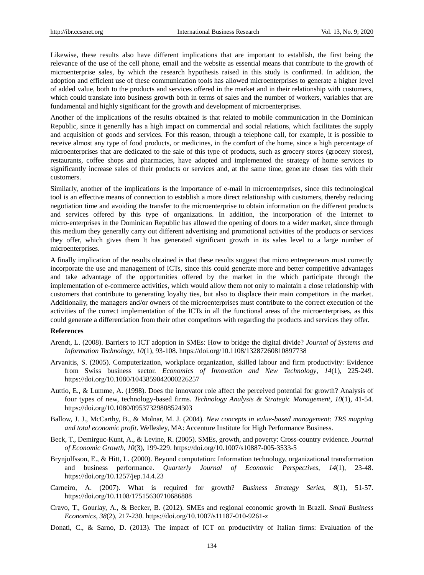Likewise, these results also have different implications that are important to establish, the first being the relevance of the use of the cell phone, email and the website as essential means that contribute to the growth of microenterprise sales, by which the research hypothesis raised in this study is confirmed. In addition, the adoption and efficient use of these communication tools has allowed microenterprises to generate a higher level of added value, both to the products and services offered in the market and in their relationship with customers, which could translate into business growth both in terms of sales and the number of workers, variables that are fundamental and highly significant for the growth and development of microenterprises.

Another of the implications of the results obtained is that related to mobile communication in the Dominican Republic, since it generally has a high impact on commercial and social relations, which facilitates the supply and acquisition of goods and services. For this reason, through a telephone call, for example, it is possible to receive almost any type of food products, or medicines, in the comfort of the home, since a high percentage of microenterprises that are dedicated to the sale of this type of products, such as grocery stores (grocery stores), restaurants, coffee shops and pharmacies, have adopted and implemented the strategy of home services to significantly increase sales of their products or services and, at the same time, generate closer ties with their customers.

Similarly, another of the implications is the importance of e-mail in microenterprises, since this technological tool is an effective means of connection to establish a more direct relationship with customers, thereby reducing negotiation time and avoiding the transfer to the microenterprise to obtain information on the different products and services offered by this type of organizations. In addition, the incorporation of the Internet to micro-enterprises in the Dominican Republic has allowed the opening of doors to a wider market, since through this medium they generally carry out different advertising and promotional activities of the products or services they offer, which gives them It has generated significant growth in its sales level to a large number of microenterprises.

A finally implication of the results obtained is that these results suggest that micro entrepreneurs must correctly incorporate the use and management of ICTs, since this could generate more and better competitive advantages and take advantage of the opportunities offered by the market in the which participate through the implementation of e-commerce activities, which would allow them not only to maintain a close relationship with customers that contribute to generating loyalty ties, but also to displace their main competitors in the market. Additionally, the managers and/or owners of the microenterprises must contribute to the correct execution of the activities of the correct implementation of the ICTs in all the functional areas of the microenterprises, as this could generate a differentiation from their other competitors with regarding the products and services they offer.

#### **References**

- Arendt, L. (2008). Barriers to ICT adoption in SMEs: How to bridge the digital divide? *Journal of Systems and Information Technology*, *10*(1), 93-108. https://doi.org/10.1108/13287260810897738
- Arvanitis, S. (2005). Computerization, workplace organization, skilled labour and firm productivity: Evidence from Swiss business sector. *Economics of Innovation and New Technology*, *14*(1), 225-249. https://doi.org/10.1080/1043859042000226257
- Auttio, E., & Lumme, A. (1998). Does the innovator role affect the perceived potential for growth? Analysis of four types of new, technology-based firms. *Technology Analysis & Strategic Management*, *10*(1), 41-54. https://doi.org/10.1080/09537329808524303
- Ballow, J. J., McCarthy, B., & Molnar, M. J. (2004). *New concepts in value-based management: TRS mapping and total economic profit*. Wellesley, MA: Accenture Institute for High Performance Business.
- Beck, T., Demirguc-Kunt, A., & Levine, R. (2005). SMEs, growth, and poverty: Cross-country evidence. *Journal of Economic Growth*, *10*(3), 199-229. https://doi.org/10.1007/s10887-005-3533-5
- Brynjolfsson, E., & Hitt, L. (2000). Beyond computation: Information technology, organizational transformation and business performance. *Quarterly Journal of Economic Perspectives*, *14*(1), 23-48. https://doi.org/10.1257/jep.14.4.23
- Carneiro, A. (2007). What is required for growth? *Business Strategy Series*, *8*(1), 51-57. https://doi.org/10.1108/17515630710686888
- Cravo, T., Gourlay, A., & Becker, B. (2012). SMEs and regional economic growth in Brazil. *Small Business Economics*, *38*(2), 217-230. https://doi.org/10.1007/s11187-010-9261-z
- Donati, C., & Sarno, D. (2013). The impact of ICT on productivity of Italian firms: Evaluation of the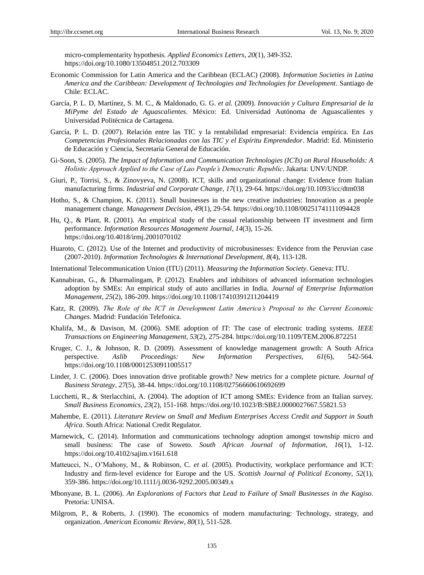micro-complementarity hypothesis. *Applied Economics Letters*, *20*(1), 349-352. https://doi.org/10.1080/13504851.2012.703309

- Economic Commission for Latin America and the Caribbean (ECLAC) (2008). *Information Societies in Latina America and the Caribbean: Development of Technologies and Technologies for Development*. Santiago de Chile: ECLAC.
- García, P. L. D, Martínez, S. M. C., & Maldonado, G. G. *et al.* (2009). *Innovación y Cultura Empresarial de la MiPyme del Estado de Aguascalientes*. México: Ed. Universidad Autónoma de Aguascalientes y Universidad Politécnica de Cartagena.
- García, P. L. D. (2007). Relación entre las TIC y la rentabilidad empresarial: Evidencia empírica. En *Las Competencias Profesionales Relacionadas con las TIC y el Espíritu Emprendedor*. Madrid: Ed. Ministerio de Educación y Ciencia, Secretar á General de Educación.
- Gi-Soon, S. (2005). *The Impact of Information and Communication Technologies (ICTs) on Rural Households: A Holistic Approach Applied to the Case of Lao People's Democratic Republic*. Jakarta: UNV/UNDP.
- Giuri, P., Torrisi, S., & Zinovyeva, N. (2008). ICT, skills and organizational change: Evidence from Italian manufacturing firms. *Industrial and Corporate Change*, *17*(1), 29-64. https://doi.org/10.1093/icc/dtm038
- Hotho, S., & Champion, K. (2011). Small businesses in the new creative industries: Innovation as a people management change. *Management Decision*, *49*(1), 29-54. https://doi.org/10.1108/00251741111094428
- Hu, Q., & Plant, R. (2001). An empirical study of the casual relationship between IT investment and firm performance. *Information Resources Management Journal*, *14*(3), 15-26. https://doi.org/10.4018/irmj.2001070102
- Huaroto, C. (2012). Use of the Internet and productivity of microbusinesses: Evidence from the Peruvian case (2007-2010). *Information Technologies & International Development*, *8*(4), 113-128.
- International Telecommunication Union (ITU) (2011). *Measuring the Information Society*. Geneva: ITU.
- Kannabiran, G., & Dharmalingam, P. (2012). Enablers and inhibitors of advanced information technologies adoption by SMEs: An empirical study of auto ancillaries in India. *Journal of Enterprise Information Management*, *25*(2), 186-209. https://doi.org/10.1108/17410391211204419
- Katz, R. (2009). *The Role of the ICT in Development Latin America's Proposal to the Current Economic Changes*. Madrid: Fundación Telefonica.
- Khalifa, M., & Davison, M. (2006). SME adoption of IT: The case of electronic trading systems. *IEEE Transactions on Engineering Management*, *53*(2), 275-284. https://doi.org/10.1109/TEM.2006.872251
- Kruger, C. J., & Johnson, R. D. (2009). Assessment of knowledge management growth: A South Africa perspective. *Aslib Proceedings: New Information Perspectives, 61*(6), 542-564. https://doi.org/10.1108/00012530911005517
- Linder, J. C. (2006). Does innovation drive profitable growth? New metrics for a complete picture. *Journal of Business Strategy*, *27*(5), 38-44. https://doi.org/10.1108/02756660610692699
- Lucchetti, R., & Sterlacchini, A. (2004). The adoption of ICT among SMEs: Evidence from an Italian survey. *Small Business Economics*, *23*(2), 151-168. https://doi.org/10.1023/B:SBEJ.0000027667.55821.53
- Mahembe, E. (2011). *Literature Review on Small and Medium Enterprises Access Credit and Support in South Africa*. South Africa: National Credit Regulator.
- Marnewick, C. (2014). Information and communications technology adoption amongst township micro and small business: The case of Soweto. *South African Journal of Information*, *16*(1), 1-12. https://doi.org/10.4102/sajim.v16i1.618
- Matteucci, N., O'Mahony, M., & Robinson, C. *et al.* (2005). Productivity, workplace performance and ICT: Industry and firm-level evidence for Europe and the US. *Scottish Journal of Political Economy*, *52*(1), 359-386. https://doi.org/10.1111/j.0036-9292.2005.00349.x
- Mbonyane, B. L. (2006). *An Explorations of Factors that Lead to Failure of Small Businesses in the Kagiso*. Pretoria: UNISA.
- Milgrom, P., & Roberts, J. (1990). The economics of modern manufacturing: Technology, strategy, and organization. *American Economic Review*, *80*(1), 511-528.